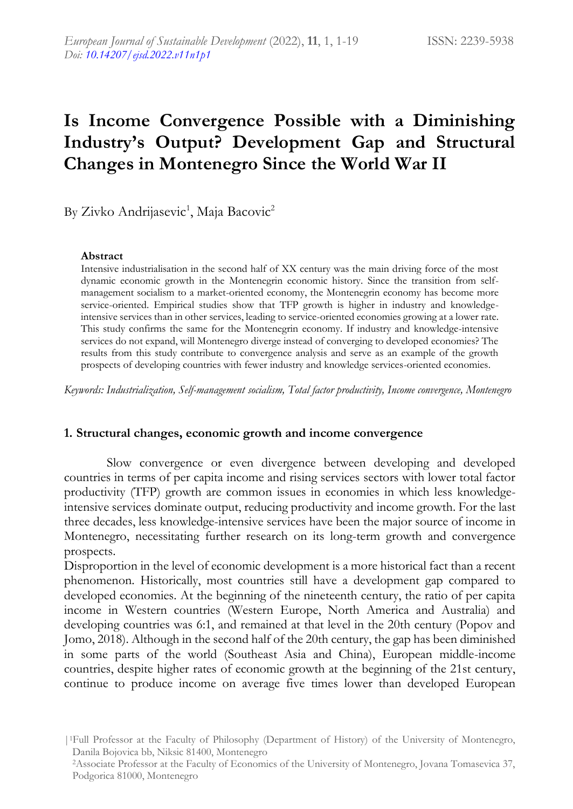# **Is Income Convergence Possible with a Diminishing Industry's Output? Development Gap and Structural Changes in Montenegro Since the World War II**

By Zivko Andrijasevic<sup>1</sup>, Maja Bacovic<sup>2</sup>

#### **Abstract**

Intensive industrialisation in the second half of XX century was the main driving force of the most dynamic economic growth in the Montenegrin economic history. Since the transition from selfmanagement socialism to a market-oriented economy, the Montenegrin economy has become more service-oriented. Empirical studies show that TFP growth is higher in industry and knowledgeintensive services than in other services, leading to service-oriented economies growing at a lower rate. This study confirms the same for the Montenegrin economy. If industry and knowledge-intensive services do not expand, will Montenegro diverge instead of converging to developed economies? The results from this study contribute to convergence analysis and serve as an example of the growth prospects of developing countries with fewer industry and knowledge services-oriented economies.

*Keywords: Industrialization, Self-management socialism, Total factor productivity, Income convergence, Montenegro*

#### **1. Structural changes, economic growth and income convergence**

Slow convergence or even divergence between developing and developed countries in terms of per capita income and rising services sectors with lower total factor productivity (TFP) growth are common issues in economies in which less knowledgeintensive services dominate output, reducing productivity and income growth. For the last three decades, less knowledge-intensive services have been the major source of income in Montenegro, necessitating further research on its long-term growth and convergence prospects.

Disproportion in the level of economic development is a more historical fact than a recent phenomenon. Historically, most countries still have a development gap compared to developed economies. At the beginning of the nineteenth century, the ratio of per capita income in Western countries (Western Europe, North America and Australia) and developing countries was 6:1, and remained at that level in the 20th century (Popov and Jomo, 2018). Although in the second half of the 20th century, the gap has been diminished in some parts of the world (Southeast Asia and China), European middle-income countries, despite higher rates of economic growth at the beginning of the 21st century, continue to produce income on average five times lower than developed European

<sup>|</sup>1Full Professor at the Faculty of Philosophy (Department of History) of the University of Montenegro, Danila Bojovica bb, Niksic 81400, Montenegro

<sup>2</sup>Associate Professor at the Faculty of Economics of the University of Montenegro, Jovana Tomasevica 37, Podgorica 81000, Montenegro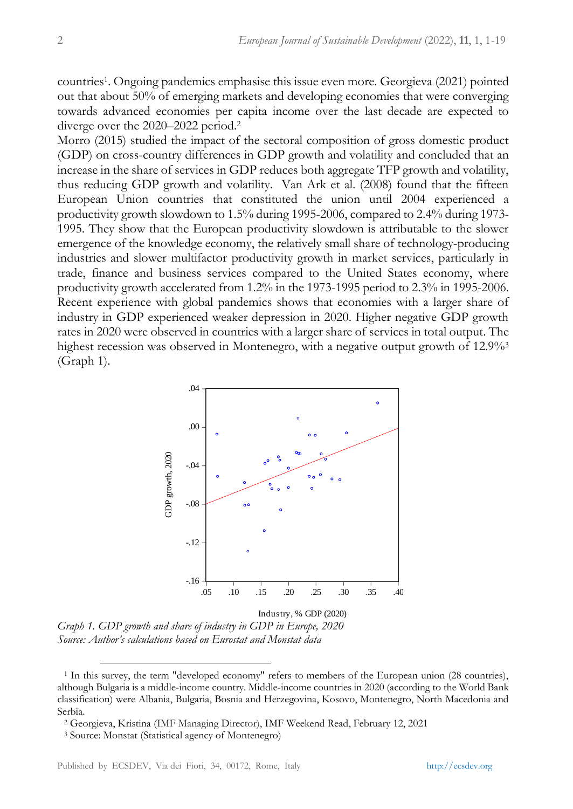countries<sup>1</sup> . Ongoing pandemics emphasise this issue even more. Georgieva (2021) pointed out that about 50% of emerging markets and developing economies that were converging towards advanced economies per capita income over the last decade are expected to diverge over the 2020–2022 period.<sup>2</sup>

Morro (2015) studied the impact of the sectoral composition of gross domestic product (GDP) on cross-country differences in GDP growth and volatility and concluded that an increase in the share of services in GDP reduces both aggregate TFP growth and volatility, thus reducing GDP growth and volatility. Van Ark et al. (2008) found that the fifteen European Union countries that constituted the union until 2004 experienced a productivity growth slowdown to 1.5% during 1995-2006, compared to 2.4% during 1973- 1995. They show that the European productivity slowdown is attributable to the slower emergence of the knowledge economy, the relatively small share of technology-producing industries and slower multifactor productivity growth in market services, particularly in trade, finance and business services compared to the United States economy, where productivity growth accelerated from 1.2% in the 1973-1995 period to 2.3% in 1995-2006. Recent experience with global pandemics shows that economies with a larger share of industry in GDP experienced weaker depression in 2020. Higher negative GDP growth rates in 2020 were observed in countries with a larger share of services in total output. The highest recession was observed in Montenegro, with a negative output growth of 12.9%<sup>3</sup> (Graph 1).



*Graph 1. GDP growth and share of industry in GDP in Europe, 2020 Source: Author's calculations based on Eurostat and Monstat data*

<sup>1</sup> In this survey, the term "developed economy" refers to members of the European union (28 countries), although Bulgaria is a middle-income country. Middle-income countries in 2020 (according to the World Bank classification) were Albania, Bulgaria, Bosnia and Herzegovina, Kosovo, Montenegro, North Macedonia and Serbia.

<sup>2</sup> Georgieva, Kristina (IMF Managing Director), IMF Weekend Read, February 12, 2021

<sup>3</sup> Source: Monstat (Statistical agency of Montenegro)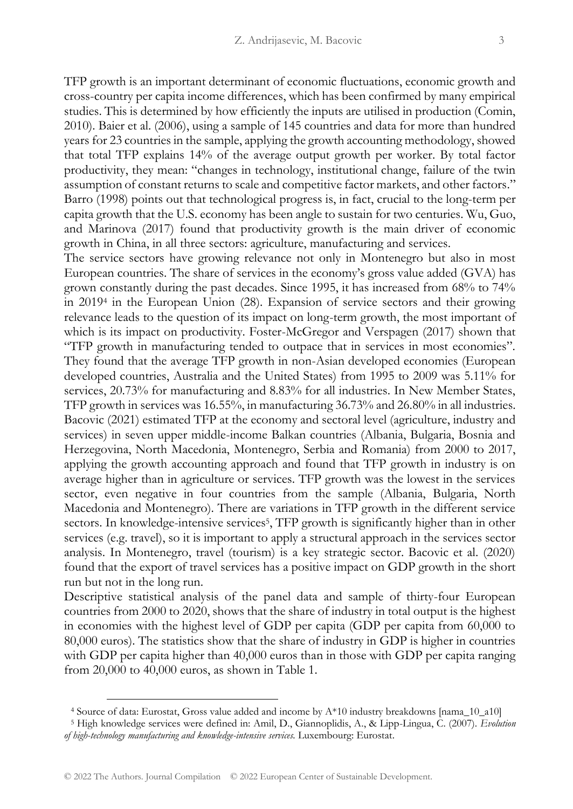TFP growth is an important determinant of economic fluctuations, economic growth and cross-country per capita income differences, which has been confirmed by many empirical studies. This is determined by how efficiently the inputs are utilised in production (Comin, 2010). Baier et al. (2006), using a sample of 145 countries and data for more than hundred years for 23 countries in the sample, applying the growth accounting methodology, showed that total TFP explains 14% of the average output growth per worker. By total factor productivity, they mean: "changes in technology, institutional change, failure of the twin assumption of constant returns to scale and competitive factor markets, and other factors." Barro (1998) points out that technological progress is, in fact, crucial to the long-term per capita growth that the U.S. economy has been angle to sustain for two centuries. Wu, Guo, and Marinova (2017) found that productivity growth is the main driver of economic growth in China, in all three sectors: agriculture, manufacturing and services.

The service sectors have growing relevance not only in Montenegro but also in most European countries. The share of services in the economy's gross value added (GVA) has grown constantly during the past decades. Since 1995, it has increased from 68% to 74% in 2019<sup>4</sup> in the European Union (28). Expansion of service sectors and their growing relevance leads to the question of its impact on long-term growth, the most important of which is its impact on productivity. Foster-McGregor and Verspagen (2017) shown that "TFP growth in manufacturing tended to outpace that in services in most economies". They found that the average TFP growth in non-Asian developed economies (European developed countries, Australia and the United States) from 1995 to 2009 was 5.11% for services, 20.73% for manufacturing and 8.83% for all industries. In New Member States, TFP growth in services was 16.55%, in manufacturing 36.73% and 26.80% in all industries. Bacovic (2021) estimated TFP at the economy and sectoral level (agriculture, industry and services) in seven upper middle-income Balkan countries (Albania, Bulgaria, Bosnia and Herzegovina, North Macedonia, Montenegro, Serbia and Romania) from 2000 to 2017, applying the growth accounting approach and found that TFP growth in industry is on average higher than in agriculture or services. TFP growth was the lowest in the services sector, even negative in four countries from the sample (Albania, Bulgaria, North Macedonia and Montenegro). There are variations in TFP growth in the different service sectors. In knowledge-intensive services<sup>5</sup>, TFP growth is significantly higher than in other services (e.g. travel), so it is important to apply a structural approach in the services sector analysis. In Montenegro, travel (tourism) is a key strategic sector. Bacovic et al. (2020) found that the export of travel services has a positive impact on GDP growth in the short run but not in the long run.

Descriptive statistical analysis of the panel data and sample of thirty-four European countries from 2000 to 2020, shows that the share of industry in total output is the highest in economies with the highest level of GDP per capita (GDP per capita from 60,000 to 80,000 euros). The statistics show that the share of industry in GDP is higher in countries with GDP per capita higher than 40,000 euros than in those with GDP per capita ranging from 20,000 to 40,000 euros, as shown in Table 1.

<sup>4</sup> Source of data: Eurostat, Gross value added and income by A\*10 industry breakdowns [nama\_10\_a10]

<sup>5</sup> High knowledge services were defined in: Amil, D., Giannoplidis, A., & Lipp-Lingua, C. (2007). *Evolution of high-technology manufacturing and knowledge-intensive services.* Luxembourg: Eurostat.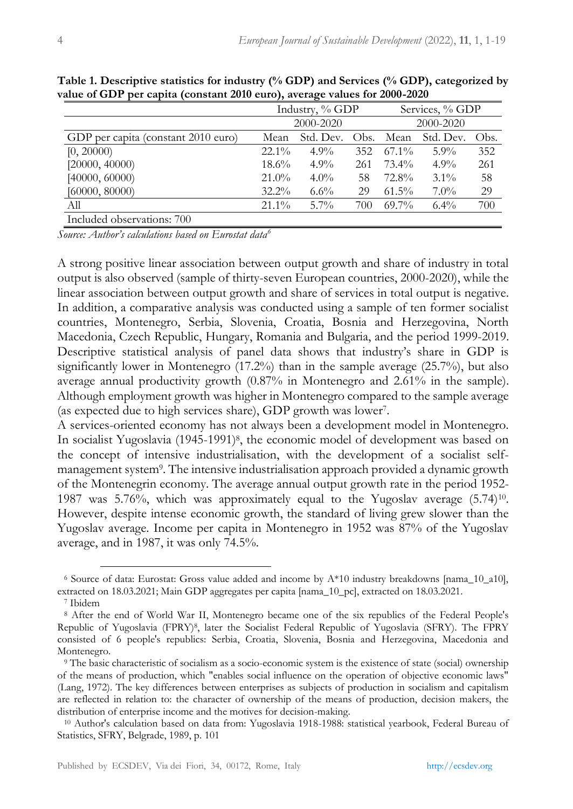| value of GDT per capita (constant 2010 care), average values for 2000 2020 |           |                 |      |           |                 |      |  |  |
|----------------------------------------------------------------------------|-----------|-----------------|------|-----------|-----------------|------|--|--|
|                                                                            |           | Industry, % GDP |      |           | Services, % GDP |      |  |  |
|                                                                            | 2000-2020 |                 |      | 2000-2020 |                 |      |  |  |
| GDP per capita (constant 2010 euro)                                        | Mean      | Std. Dev.       | Obs. | Mean      | Std. Dev.       | Obs. |  |  |
| [0, 20000)                                                                 | $22.1\%$  | $4.9\%$         | 352  | $67.1\%$  | $5.9\%$         | 352  |  |  |
| [20000, 40000]                                                             | $18.6\%$  | $4.9\%$         | 261  | $73.4\%$  | $4.9\%$         | 261  |  |  |
| [40000, 60000]                                                             | $21.0\%$  | $4.0\%$         | 58   | 72.8%     | $3.1\%$         | 58   |  |  |
| [60000, 80000]                                                             | $32.2\%$  | $6.6\%$         | 29   | $61.5\%$  | $7.0\%$         | 29   |  |  |
| All                                                                        | $21.1\%$  | $5.7\%$         | 700  | $69.7\%$  | $6.4\%$         | 700  |  |  |

**Table 1. Descriptive statistics for industry (% GDP) and Services (% GDP), categorized by value of GDP per capita (constant 2010 euro), average values for 2000-2020**

*Source: Author's calculations based on Eurostat data<sup>6</sup>*

Included observations: 700

A strong positive linear association between output growth and share of industry in total output is also observed (sample of thirty-seven European countries, 2000-2020), while the linear association between output growth and share of services in total output is negative. In addition, a comparative analysis was conducted using a sample of ten former socialist countries, Montenegro, Serbia, Slovenia, Croatia, Bosnia and Herzegovina, North Macedonia, Czech Republic, Hungary, Romania and Bulgaria, and the period 1999-2019. Descriptive statistical analysis of panel data shows that industry's share in GDP is significantly lower in Montenegro (17.2%) than in the sample average (25.7%), but also average annual productivity growth (0.87% in Montenegro and 2.61% in the sample). Although employment growth was higher in Montenegro compared to the sample average (as expected due to high services share), GDP growth was lower<sup>7</sup> .

A services-oriented economy has not always been a development model in Montenegro. In socialist Yugoslavia (1945-1991)<sup>8</sup>, the economic model of development was based on the concept of intensive industrialisation, with the development of a socialist selfmanagement system<sup>9</sup>. The intensive industrialisation approach provided a dynamic growth of the Montenegrin economy. The average annual output growth rate in the period 1952- 1987 was 5.76%, which was approximately equal to the Yugoslav average (5.74)<sup>10</sup>. However, despite intense economic growth, the standard of living grew slower than the Yugoslav average. Income per capita in Montenegro in 1952 was 87% of the Yugoslav average, and in 1987, it was only 74.5%.

<sup>6</sup> Source of data: Eurostat: Gross value added and income by A\*10 industry breakdowns [nama\_10\_a10], extracted on 18.03.2021; Main GDP aggregates per capita [nama\_10\_pc], extracted on 18.03.2021.

<sup>7</sup> Ibidem

<sup>8</sup> After the end of World War II, Montenegro became one of the six republics of the Federal People's Republic of Yugoslavia (FPRY)8, later the Socialist Federal Republic of Yugoslavia (SFRY). The FPRY consisted of 6 people's republics: Serbia, Croatia, Slovenia, Bosnia and Herzegovina, Macedonia and Montenegro.

<sup>9</sup> The basic characteristic of socialism as a socio-economic system is the existence of state (social) ownership of the means of production, which "enables social influence on the operation of objective economic laws" (Lang, 1972). The key differences between enterprises as subjects of production in socialism and capitalism are reflected in relation to: the character of ownership of the means of production, decision makers, the distribution of enterprise income and the motives for decision-making.

<sup>10</sup> Author's calculation based on data from: Yugoslavia 1918-1988: statistical yearbook, Federal Bureau of Statistics, SFRY, Belgrade, 1989, p. 101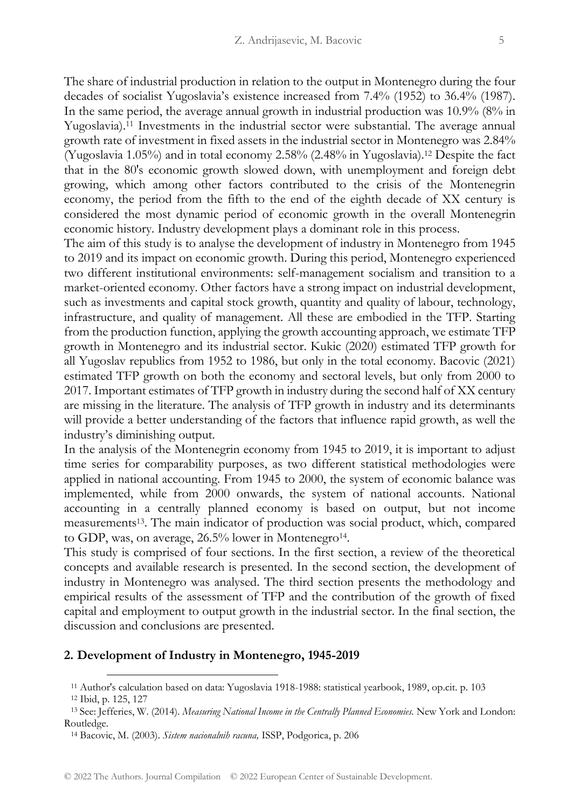The share of industrial production in relation to the output in Montenegro during the four decades of socialist Yugoslavia's existence increased from 7.4% (1952) to 36.4% (1987). In the same period, the average annual growth in industrial production was 10.9% (8% in Yugoslavia).<sup>11</sup> Investments in the industrial sector were substantial. The average annual growth rate of investment in fixed assets in the industrial sector in Montenegro was 2.84% (Yugoslavia 1.05%) and in total economy 2.58% (2.48% in Yugoslavia).<sup>12</sup> Despite the fact that in the 80's economic growth slowed down, with unemployment and foreign debt growing, which among other factors contributed to the crisis of the Montenegrin economy, the period from the fifth to the end of the eighth decade of XX century is considered the most dynamic period of economic growth in the overall Montenegrin economic history. Industry development plays a dominant role in this process.

The aim of this study is to analyse the development of industry in Montenegro from 1945 to 2019 and its impact on economic growth. During this period, Montenegro experienced two different institutional environments: self-management socialism and transition to a market-oriented economy. Other factors have a strong impact on industrial development, such as investments and capital stock growth, quantity and quality of labour, technology, infrastructure, and quality of management. All these are embodied in the TFP. Starting from the production function, applying the growth accounting approach, we estimate TFP growth in Montenegro and its industrial sector. Kukic (2020) estimated TFP growth for all Yugoslav republics from 1952 to 1986, but only in the total economy. Bacovic (2021) estimated TFP growth on both the economy and sectoral levels, but only from 2000 to 2017. Important estimates of TFP growth in industry during the second half of XX century are missing in the literature. The analysis of TFP growth in industry and its determinants will provide a better understanding of the factors that influence rapid growth, as well the industry's diminishing output.

In the analysis of the Montenegrin economy from 1945 to 2019, it is important to adjust time series for comparability purposes, as two different statistical methodologies were applied in national accounting. From 1945 to 2000, the system of economic balance was implemented, while from 2000 onwards, the system of national accounts. National accounting in a centrally planned economy is based on output, but not income measurements13. The main indicator of production was social product, which, compared to GDP, was, on average, 26.5% lower in Montenegro<sup>14</sup>.

This study is comprised of four sections. In the first section, a review of the theoretical concepts and available research is presented. In the second section, the development of industry in Montenegro was analysed. The third section presents the methodology and empirical results of the assessment of TFP and the contribution of the growth of fixed capital and employment to output growth in the industrial sector. In the final section, the discussion and conclusions are presented.

#### **2. Development of Industry in Montenegro, 1945-2019**

<sup>11</sup> Author's calculation based on data: Yugoslavia 1918-1988: statistical yearbook, 1989, op.cit. p. 103

<sup>12</sup> Ibid, p. 125, 127

<sup>13</sup> See: Jefferies, W. (2014). *Measuring National Income in the Centrally Planned Economies.* New York and London: Routledge.

<sup>14</sup> Bacovic, M. (2003). *Sistem nacionalnih racuna,* ISSP, Podgorica, p. 206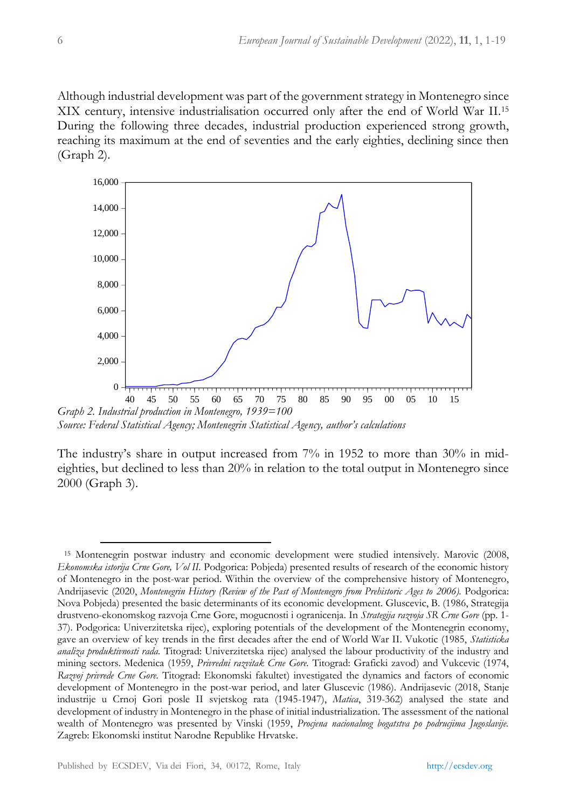Although industrial development was part of the government strategy in Montenegro since XIX century, intensive industrialisation occurred only after the end of World War II.<sup>15</sup> During the following three decades, industrial production experienced strong growth, reaching its maximum at the end of seventies and the early eighties, declining since then (Graph 2).



*Source: Federal Statistical Agency; Montenegrin Statistical Agency, author's calculations*

The industry's share in output increased from 7% in 1952 to more than 30% in mideighties, but declined to less than 20% in relation to the total output in Montenegro since 2000 (Graph 3).

<sup>15</sup> Montenegrin postwar industry and economic development were studied intensively. Marovic (2008, *Ekonomska istorija Crne Gore, Vol II.* Podgorica: Pobjeda) presented results of research of the economic history of Montenegro in the post-war period. Within the overview of the comprehensive history of Montenegro, Andrijasevic (2020, *Montenegrin History (Review of the Past of Montenegro from Prehistoric Ages to 2006).* Podgorica: Nova Pobjeda) presented the basic determinants of its economic development. Gluscevic, B. (1986, Strategija drustveno-ekonomskog razvoja Crne Gore, mogucnosti i ogranicenja. In *Strategija razvoja SR Crne Gore* (pp. 1- 37). Podgorica: Univerzitetska rijec), exploring potentials of the development of the Montenegrin economy, gave an overview of key trends in the first decades after the end of World War II. Vukotic (1985, *Statisticka analiza produktivnosti rada.* Titograd: Univerzitetska rijec) analysed the labour productivity of the industry and mining sectors. Medenica (1959, *Privredni razvitak Crne Gore.* Titograd: Graficki zavod) and Vukcevic (1974, *Razvoj privrede Crne Gore.* Titograd: Ekonomski fakultet) investigated the dynamics and factors of economic development of Montenegro in the post-war period, and later Gluscevic (1986). Andrijasevic (2018, Stanje industrije u Crnoj Gori posle II svjetskog rata (1945-1947), *Matica*, 319-362) analysed the state and development of industry in Montenegro in the phase of initial industrialization. The assessment of the national wealth of Montenegro was presented by Vinski (1959, *Procjena nacionalnog bogatstva po podrucjima Jugoslavije.* Zagreb: Ekonomski institut Narodne Republike Hrvatske.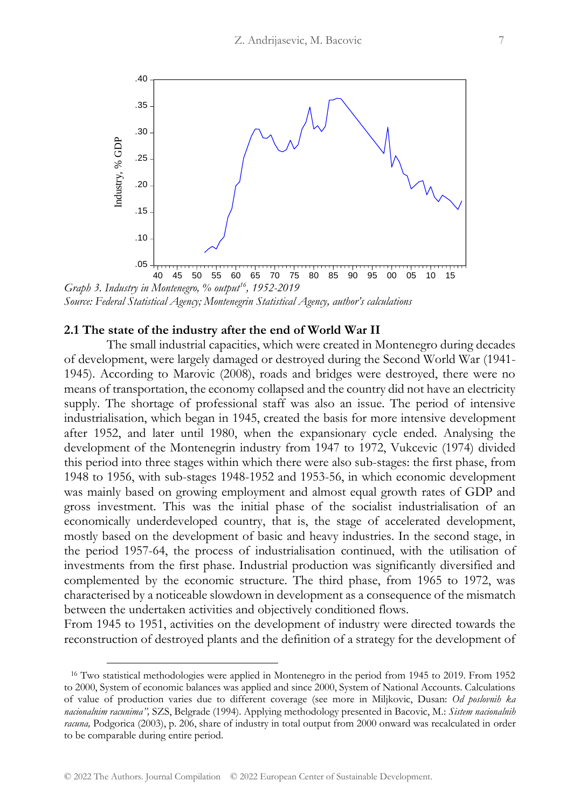

*Source: Federal Statistical Agency; Montenegrin Statistical Agency, author's calculations*

## **2.1 The state of the industry after the end of World War II**

The small industrial capacities, which were created in Montenegro during decades of development, were largely damaged or destroyed during the Second World War (1941- 1945). According to Marovic (2008), roads and bridges were destroyed, there were no means of transportation, the economy collapsed and the country did not have an electricity supply. The shortage of professional staff was also an issue. The period of intensive industrialisation, which began in 1945, created the basis for more intensive development after 1952, and later until 1980, when the expansionary cycle ended. Analysing the development of the Montenegrin industry from 1947 to 1972, Vukcevic (1974) divided this period into three stages within which there were also sub-stages: the first phase, from 1948 to 1956, with sub-stages 1948-1952 and 1953-56, in which economic development was mainly based on growing employment and almost equal growth rates of GDP and gross investment. This was the initial phase of the socialist industrialisation of an economically underdeveloped country, that is, the stage of accelerated development, mostly based on the development of basic and heavy industries. In the second stage, in the period 1957-64, the process of industrialisation continued, with the utilisation of investments from the first phase. Industrial production was significantly diversified and complemented by the economic structure. The third phase, from 1965 to 1972, was characterised by a noticeable slowdown in development as a consequence of the mismatch between the undertaken activities and objectively conditioned flows.

From 1945 to 1951, activities on the development of industry were directed towards the reconstruction of destroyed plants and the definition of a strategy for the development of

<sup>16</sup> Two statistical methodologies were applied in Montenegro in the period from 1945 to 2019. From 1952 to 2000, System of economic balances was applied and since 2000, System of National Accounts. Calculations of value of production varies due to different coverage (see more in Miljkovic, Dusan: *Od poslovnih ka nacionalnim racunima",* SZS, Belgrade (1994). Applying methodology presented in Bacovic, M.: *Sistem nacionalnih racuna,* Podgorica (2003), p. 206, share of industry in total output from 2000 onward was recalculated in order to be comparable during entire period.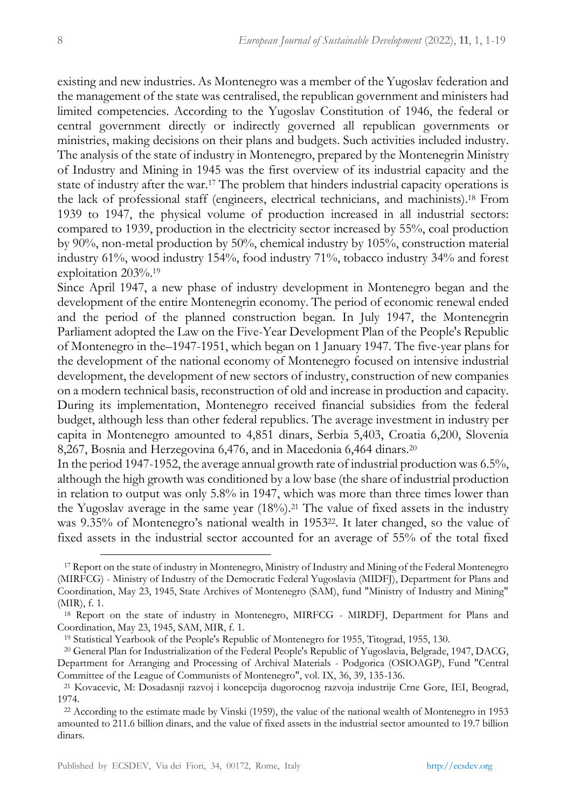existing and new industries. As Montenegro was a member of the Yugoslav federation and the management of the state was centralised, the republican government and ministers had limited competencies. According to the Yugoslav Constitution of 1946, the federal or central government directly or indirectly governed all republican governments or ministries, making decisions on their plans and budgets. Such activities included industry. The analysis of the state of industry in Montenegro, prepared by the Montenegrin Ministry of Industry and Mining in 1945 was the first overview of its industrial capacity and the state of industry after the war.<sup>17</sup> The problem that hinders industrial capacity operations is the lack of professional staff (engineers, electrical technicians, and machinists).<sup>18</sup> From 1939 to 1947, the physical volume of production increased in all industrial sectors: compared to 1939, production in the electricity sector increased by 55%, coal production by 90%, non-metal production by 50%, chemical industry by 105%, construction material industry 61%, wood industry 154%, food industry 71%, tobacco industry 34% and forest exploitation 203%.<sup>19</sup>

Since April 1947, a new phase of industry development in Montenegro began and the development of the entire Montenegrin economy. The period of economic renewal ended and the period of the planned construction began. In July 1947, the Montenegrin Parliament adopted the Law on the Five-Year Development Plan of the People's Republic of Montenegro in the–1947-1951, which began on 1 January 1947. The five-year plans for the development of the national economy of Montenegro focused on intensive industrial development, the development of new sectors of industry, construction of new companies on a modern technical basis, reconstruction of old and increase in production and capacity. During its implementation, Montenegro received financial subsidies from the federal budget, although less than other federal republics. The average investment in industry per capita in Montenegro amounted to 4,851 dinars, Serbia 5,403, Croatia 6,200, Slovenia 8,267, Bosnia and Herzegovina 6,476, and in Macedonia 6,464 dinars.<sup>20</sup>

In the period 1947-1952, the average annual growth rate of industrial production was 6.5%, although the high growth was conditioned by a low base (the share of industrial production in relation to output was only 5.8% in 1947, which was more than three times lower than the Yugoslav average in the same year  $(18\%)$ .<sup>21</sup> The value of fixed assets in the industry was 9.35% of Montenegro's national wealth in 195322. It later changed, so the value of fixed assets in the industrial sector accounted for an average of 55% of the total fixed

<sup>17</sup> Report on the state of industry in Montenegro, Ministry of Industry and Mining of the Federal Montenegro (MIRFCG) - Ministry of Industry of the Democratic Federal Yugoslavia (MIDFJ), Department for Plans and Coordination, May 23, 1945, State Archives of Montenegro (SAM), fund "Ministry of Industry and Mining" (MIR), f. 1.

<sup>18</sup> Report on the state of industry in Montenegro, MIRFCG - MIRDFJ, Department for Plans and Coordination, May 23, 1945, SAM, MIR, f. 1.

<sup>19</sup> Statistical Yearbook of the People's Republic of Montenegro for 1955, Titograd, 1955, 130.

<sup>20</sup> General Plan for Industrialization of the Federal People's Republic of Yugoslavia, Belgrade, 1947, DACG, Department for Arranging and Processing of Archival Materials - Podgorica (OSIOAGP), Fund "Central Committee of the League of Communists of Montenegro", vol. IX, 36, 39, 135-136.

<sup>21</sup> Kovacevic, M: Dosadasnji razvoj i koncepcija dugorocnog razvoja industrije Crne Gore, IEI, Beograd, 1974.

<sup>22</sup> According to the estimate made by Vinski (1959), the value of the national wealth of Montenegro in 1953 amounted to 211.6 billion dinars, and the value of fixed assets in the industrial sector amounted to 19.7 billion dinars.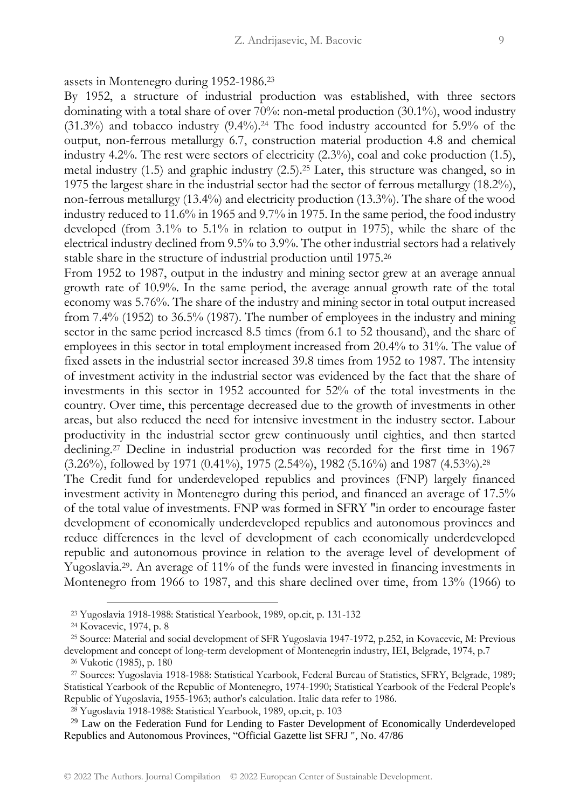assets in Montenegro during 1952-1986.<sup>23</sup>

By 1952, a structure of industrial production was established, with three sectors dominating with a total share of over 70%: non-metal production (30.1%), wood industry  $(31.3\%)$  and tobacco industry  $(9.4\%)$ .<sup>24</sup> The food industry accounted for 5.9% of the output, non-ferrous metallurgy 6.7, construction material production 4.8 and chemical industry 4.2%. The rest were sectors of electricity  $(2.3\%)$ , coal and coke production  $(1.5)$ , metal industry  $(1.5)$  and graphic industry  $(2.5)$ .<sup>25</sup> Later, this structure was changed, so in 1975 the largest share in the industrial sector had the sector of ferrous metallurgy (18.2%), non-ferrous metallurgy (13.4%) and electricity production (13.3%). The share of the wood industry reduced to 11.6% in 1965 and 9.7% in 1975. In the same period, the food industry developed (from 3.1% to 5.1% in relation to output in 1975), while the share of the electrical industry declined from 9.5% to 3.9%. The other industrial sectors had a relatively stable share in the structure of industrial production until 1975.<sup>26</sup>

From 1952 to 1987, output in the industry and mining sector grew at an average annual growth rate of 10.9%. In the same period, the average annual growth rate of the total economy was 5.76%. The share of the industry and mining sector in total output increased from 7.4% (1952) to 36.5% (1987). The number of employees in the industry and mining sector in the same period increased 8.5 times (from 6.1 to 52 thousand), and the share of employees in this sector in total employment increased from 20.4% to 31%. The value of fixed assets in the industrial sector increased 39.8 times from 1952 to 1987. The intensity of investment activity in the industrial sector was evidenced by the fact that the share of investments in this sector in 1952 accounted for 52% of the total investments in the country. Over time, this percentage decreased due to the growth of investments in other areas, but also reduced the need for intensive investment in the industry sector. Labour productivity in the industrial sector grew continuously until eighties, and then started declining.<sup>27</sup> Decline in industrial production was recorded for the first time in 1967 (3.26%), followed by 1971 (0.41%), 1975 (2.54%), 1982 (5.16%) and 1987 (4.53%).<sup>28</sup>

The Credit fund for underdeveloped republics and provinces (FNP) largely financed investment activity in Montenegro during this period, and financed an average of 17.5% of the total value of investments. FNP was formed in SFRY "in order to encourage faster development of economically underdeveloped republics and autonomous provinces and reduce differences in the level of development of each economically underdeveloped republic and autonomous province in relation to the average level of development of Yugoslavia.29. An average of 11% of the funds were invested in financing investments in Montenegro from 1966 to 1987, and this share declined over time, from 13% (1966) to

<sup>23</sup> Yugoslavia 1918-1988: Statistical Yearbook, 1989, op.cit, p. 131-132

<sup>24</sup> Kovacevic, 1974, p. 8

<sup>25</sup> Source: Material and social development of SFR Yugoslavia 1947-1972, p.252, in Kovacevic, M: Previous development and concept of long-term development of Montenegrin industry, IEI, Belgrade, 1974, p.7

<sup>26</sup> Vukotic (1985), p. 180

<sup>27</sup> Sources: Yugoslavia 1918-1988: Statistical Yearbook, Federal Bureau of Statistics, SFRY, Belgrade, 1989; Statistical Yearbook of the Republic of Montenegro, 1974-1990; Statistical Yearbook of the Federal People's Republic of Yugoslavia, 1955-1963; author's calculation. Italic data refer to 1986.

<sup>28</sup> Yugoslavia 1918-1988: Statistical Yearbook, 1989, op.cit, p. 103

<sup>&</sup>lt;sup>29</sup> Law on the Federation Fund for Lending to Faster Development of Economically Underdeveloped Republics and Autonomous Provinces, "Official Gazette list SFRJ ", No. 47/86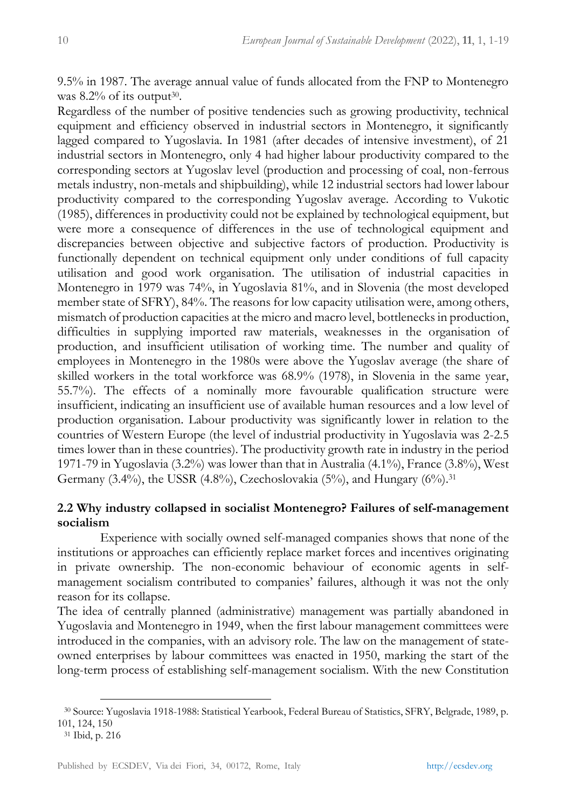9.5% in 1987. The average annual value of funds allocated from the FNP to Montenegro was  $8.2\%$  of its output<sup>30</sup>.

Regardless of the number of positive tendencies such as growing productivity, technical equipment and efficiency observed in industrial sectors in Montenegro, it significantly lagged compared to Yugoslavia. In 1981 (after decades of intensive investment), of 21 industrial sectors in Montenegro, only 4 had higher labour productivity compared to the corresponding sectors at Yugoslav level (production and processing of coal, non-ferrous metals industry, non-metals and shipbuilding), while 12 industrial sectors had lower labour productivity compared to the corresponding Yugoslav average. According to Vukotic (1985), differences in productivity could not be explained by technological equipment, but were more a consequence of differences in the use of technological equipment and discrepancies between objective and subjective factors of production. Productivity is functionally dependent on technical equipment only under conditions of full capacity utilisation and good work organisation. The utilisation of industrial capacities in Montenegro in 1979 was 74%, in Yugoslavia 81%, and in Slovenia (the most developed member state of SFRY), 84%. The reasons for low capacity utilisation were, among others, mismatch of production capacities at the micro and macro level, bottlenecks in production, difficulties in supplying imported raw materials, weaknesses in the organisation of production, and insufficient utilisation of working time. The number and quality of employees in Montenegro in the 1980s were above the Yugoslav average (the share of skilled workers in the total workforce was 68.9% (1978), in Slovenia in the same year, 55.7%). The effects of a nominally more favourable qualification structure were insufficient, indicating an insufficient use of available human resources and a low level of production organisation. Labour productivity was significantly lower in relation to the countries of Western Europe (the level of industrial productivity in Yugoslavia was 2-2.5 times lower than in these countries). The productivity growth rate in industry in the period 1971-79 in Yugoslavia (3.2%) was lower than that in Australia (4.1%), France (3.8%), West Germany (3.4%), the USSR (4.8%), Czechoslovakia (5%), and Hungary (6%).<sup>31</sup>

# **2.2 Why industry collapsed in socialist Montenegro? Failures of self-management socialism**

Experience with socially owned self-managed companies shows that none of the institutions or approaches can efficiently replace market forces and incentives originating in private ownership. The non-economic behaviour of economic agents in selfmanagement socialism contributed to companies' failures, although it was not the only reason for its collapse.

The idea of centrally planned (administrative) management was partially abandoned in Yugoslavia and Montenegro in 1949, when the first labour management committees were introduced in the companies, with an advisory role. The law on the management of stateowned enterprises by labour committees was enacted in 1950, marking the start of the long-term process of establishing self-management socialism. With the new Constitution

<sup>30</sup> Source: Yugoslavia 1918-1988: Statistical Yearbook, Federal Bureau of Statistics, SFRY, Belgrade, 1989, p. 101, 124, 150

<sup>31</sup> Ibid, p. 216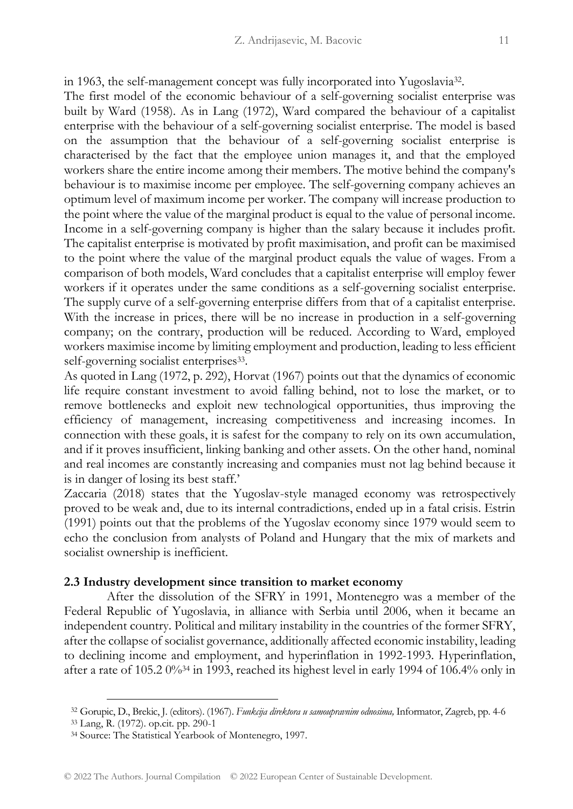in 1963, the self-management concept was fully incorporated into Yugoslavia<sup>32</sup>.

The first model of the economic behaviour of a self-governing socialist enterprise was built by Ward (1958). As in Lang (1972), Ward compared the behaviour of a capitalist enterprise with the behaviour of a self-governing socialist enterprise. The model is based on the assumption that the behaviour of a self-governing socialist enterprise is characterised by the fact that the employee union manages it, and that the employed workers share the entire income among their members. The motive behind the company's behaviour is to maximise income per employee. The self-governing company achieves an optimum level of maximum income per worker. The company will increase production to the point where the value of the marginal product is equal to the value of personal income. Income in a self-governing company is higher than the salary because it includes profit. The capitalist enterprise is motivated by profit maximisation, and profit can be maximised to the point where the value of the marginal product equals the value of wages. From a comparison of both models, Ward concludes that a capitalist enterprise will employ fewer workers if it operates under the same conditions as a self-governing socialist enterprise. The supply curve of a self-governing enterprise differs from that of a capitalist enterprise. With the increase in prices, there will be no increase in production in a self-governing company; on the contrary, production will be reduced. According to Ward, employed workers maximise income by limiting employment and production, leading to less efficient self-governing socialist enterprises<sup>33</sup>.

As quoted in Lang (1972, p. 292), Horvat (1967) points out that the dynamics of economic life require constant investment to avoid falling behind, not to lose the market, or to remove bottlenecks and exploit new technological opportunities, thus improving the efficiency of management, increasing competitiveness and increasing incomes. In connection with these goals, it is safest for the company to rely on its own accumulation, and if it proves insufficient, linking banking and other assets. On the other hand, nominal and real incomes are constantly increasing and companies must not lag behind because it is in danger of losing its best staff.'

Zaccaria (2018) states that the Yugoslav-style managed economy was retrospectively proved to be weak and, due to its internal contradictions, ended up in a fatal crisis. Estrin (1991) points out that the problems of the Yugoslav economy since 1979 would seem to echo the conclusion from analysts of Poland and Hungary that the mix of markets and socialist ownership is inefficient.

#### **2.3 Industry development since transition to market economy**

After the dissolution of the SFRY in 1991, Montenegro was a member of the Federal Republic of Yugoslavia, in alliance with Serbia until 2006, when it became an independent country. Political and military instability in the countries of the former SFRY, after the collapse of socialist governance, additionally affected economic instability, leading to declining income and employment, and hyperinflation in 1992-1993. Hyperinflation, after a rate of 105.2 0%<sup>34</sup> in 1993, reached its highest level in early 1994 of 106.4% only in

<sup>32</sup> Gorupic, D., Brekic, J. (editors). (1967). *Funkcija direktora u samoupravnim odnosima,* Informator, Zagreb, pp. 4-6

<sup>33</sup> Lang, R. (1972). op.cit*.* pp. 290-1

<sup>34</sup> Source: The Statistical Yearbook of Montenegro, 1997.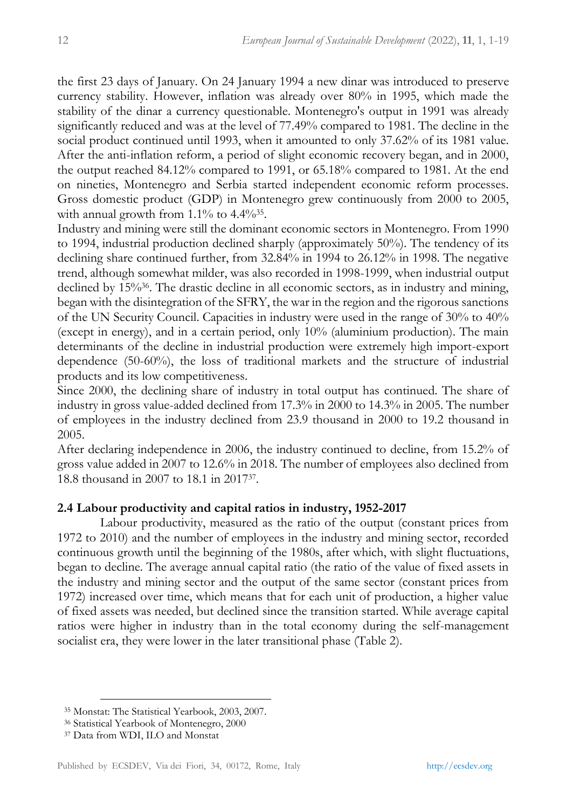the first 23 days of January. On 24 January 1994 a new dinar was introduced to preserve currency stability. However, inflation was already over 80% in 1995, which made the stability of the dinar a currency questionable. Montenegro's output in 1991 was already significantly reduced and was at the level of 77.49% compared to 1981. The decline in the social product continued until 1993, when it amounted to only 37.62% of its 1981 value. After the anti-inflation reform, a period of slight economic recovery began, and in 2000, the output reached 84.12% compared to 1991, or 65.18% compared to 1981. At the end on nineties, Montenegro and Serbia started independent economic reform processes. Gross domestic product (GDP) in Montenegro grew continuously from 2000 to 2005, with annual growth from 1.1% to 4.4%<sup>35</sup>.

Industry and mining were still the dominant economic sectors in Montenegro. From 1990 to 1994, industrial production declined sharply (approximately 50%). The tendency of its declining share continued further, from 32.84% in 1994 to 26.12% in 1998. The negative trend, although somewhat milder, was also recorded in 1998-1999, when industrial output declined by 15%36. The drastic decline in all economic sectors, as in industry and mining, began with the disintegration of the SFRY, the war in the region and the rigorous sanctions of the UN Security Council. Capacities in industry were used in the range of 30% to 40% (except in energy), and in a certain period, only 10% (aluminium production). The main determinants of the decline in industrial production were extremely high import-export dependence (50-60%), the loss of traditional markets and the structure of industrial products and its low competitiveness.

Since 2000, the declining share of industry in total output has continued. The share of industry in gross value-added declined from 17.3% in 2000 to 14.3% in 2005. The number of employees in the industry declined from 23.9 thousand in 2000 to 19.2 thousand in 2005.

After declaring independence in 2006, the industry continued to decline, from 15.2% of gross value added in 2007 to 12.6% in 2018. The number of employees also declined from 18.8 thousand in 2007 to 18.1 in 2017<sup>37</sup> .

## **2.4 Labour productivity and capital ratios in industry, 1952-2017**

Labour productivity, measured as the ratio of the output (constant prices from 1972 to 2010) and the number of employees in the industry and mining sector, recorded continuous growth until the beginning of the 1980s, after which, with slight fluctuations, began to decline. The average annual capital ratio (the ratio of the value of fixed assets in the industry and mining sector and the output of the same sector (constant prices from 1972) increased over time, which means that for each unit of production, a higher value of fixed assets was needed, but declined since the transition started. While average capital ratios were higher in industry than in the total economy during the self-management socialist era, they were lower in the later transitional phase (Table 2).

<sup>35</sup> Monstat: The Statistical Yearbook, 2003, 2007.

<sup>36</sup> Statistical Yearbook of Montenegro, 2000

<sup>37</sup> Data from WDI, ILO and Monstat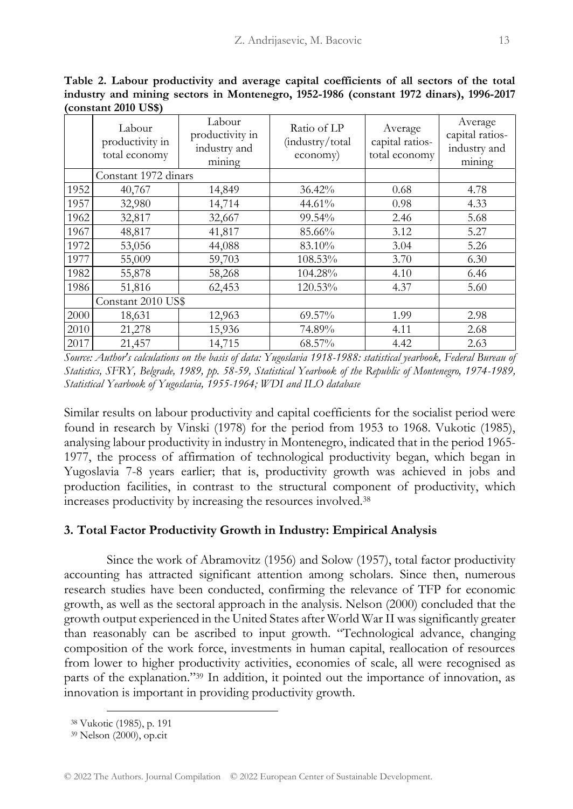**Table 2. Labour productivity and average capital coefficients of all sectors of the total industry and mining sectors in Montenegro, 1952-1986 (constant 1972 dinars), 1996-2017 (constant 2010 US\$)**

|      | Labour<br>productivity in<br>total economy | Labour<br>productivity in<br>industry and<br>mining | Ratio of LP<br>(industry/total<br>economy) | Average<br>capital ratios-<br>total economy | Average<br>capital ratios-<br>industry and<br>mining |
|------|--------------------------------------------|-----------------------------------------------------|--------------------------------------------|---------------------------------------------|------------------------------------------------------|
|      | Constant 1972 dinars                       |                                                     |                                            |                                             |                                                      |
| 1952 | 40,767                                     | 14,849                                              | 36.42%                                     | 0.68                                        | 4.78                                                 |
| 1957 | 32,980                                     | 14,714                                              | 44.61%                                     | 0.98                                        | 4.33                                                 |
| 1962 | 32,817                                     | 32,667                                              | 99.54%                                     | 2.46                                        | 5.68                                                 |
| 1967 | 48,817                                     | 41,817                                              | 85.66%                                     | 3.12                                        | 5.27                                                 |
| 1972 | 53,056                                     | 44,088                                              | 83.10%                                     | 3.04                                        | 5.26                                                 |
| 1977 | 55,009                                     | 59,703                                              | 108.53%                                    | 3.70                                        | 6.30                                                 |
| 1982 | 55,878                                     | 58,268                                              | 104.28%                                    | 4.10                                        | 6.46                                                 |
| 1986 | 51,816                                     | 62,453                                              | 120.53%                                    | 4.37                                        | 5.60                                                 |
|      | Constant 2010 US\$                         |                                                     |                                            |                                             |                                                      |
| 2000 | 18,631                                     | 12,963                                              | 69.57%                                     | 1.99                                        | 2.98                                                 |
| 2010 | 21,278                                     | 15,936                                              | 74.89%                                     | 4.11                                        | 2.68                                                 |
| 2017 | 21,457                                     | 14,715                                              | 68.57%                                     | 4.42                                        | 2.63                                                 |

*Source: Author's calculations on the basis of data: Yugoslavia 1918-1988: statistical yearbook, Federal Bureau of Statistics, SFRY, Belgrade, 1989, pp. 58-59, Statistical Yearbook of the Republic of Montenegro, 1974-1989, Statistical Yearbook of Yugoslavia, 1955-1964; WDI and ILO database*

Similar results on labour productivity and capital coefficients for the socialist period were found in research by Vinski (1978) for the period from 1953 to 1968. Vukotic (1985), analysing labour productivity in industry in Montenegro, indicated that in the period 1965- 1977, the process of affirmation of technological productivity began, which began in Yugoslavia 7-8 years earlier; that is, productivity growth was achieved in jobs and production facilities, in contrast to the structural component of productivity, which increases productivity by increasing the resources involved.<sup>38</sup>

## **3. Total Factor Productivity Growth in Industry: Empirical Analysis**

Since the work of Abramovitz (1956) and Solow (1957), total factor productivity accounting has attracted significant attention among scholars. Since then, numerous research studies have been conducted, confirming the relevance of TFP for economic growth, as well as the sectoral approach in the analysis. Nelson (2000) concluded that the growth output experienced in the United States after World War II was significantly greater than reasonably can be ascribed to input growth. "Technological advance, changing composition of the work force, investments in human capital, reallocation of resources from lower to higher productivity activities, economies of scale, all were recognised as parts of the explanation."<sup>39</sup> In addition, it pointed out the importance of innovation, as innovation is important in providing productivity growth.

<sup>38</sup> Vukotic (1985), p. 191

<sup>39</sup> Nelson (2000), op.cit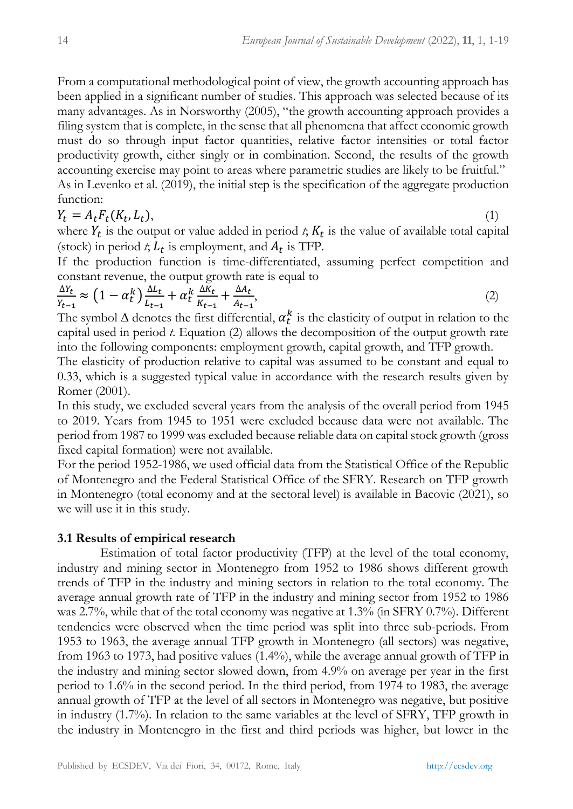From a computational methodological point of view, the growth accounting approach has been applied in a significant number of studies. This approach was selected because of its many advantages. As in Norsworthy (2005), "the growth accounting approach provides a filing system that is complete, in the sense that all phenomena that affect economic growth must do so through input factor quantities, relative factor intensities or total factor productivity growth, either singly or in combination. Second, the results of the growth accounting exercise may point to areas where parametric studies are likely to be fruitful." As in Levenko et al. (2019), the initial step is the specification of the aggregate production function:

$$
Y_t = A_t F_t(K_t, L_t),\tag{1}
$$

where  $Y_t$  is the output or value added in period  $t$ ;  $K_t$  is the value of available total capital (stock) in period *t*,  $L_t$  is employment, and  $A_t$  is TFP.

If the production function is time-differentiated, assuming perfect competition and constant revenue, the output growth rate is equal to

$$
\frac{\Delta Y_t}{Y_{t-1}} \approx \left(1 - \alpha_t^k\right) \frac{\Delta L_t}{L_{t-1}} + \alpha_t^k \frac{\Delta K_t}{K_{t-1}} + \frac{\Delta A_t}{A_{t-1}},\tag{2}
$$

The symbol  $\Delta$  denotes the first differential,  $\alpha_t^k$  is the elasticity of output in relation to the capital used in period *t*. Equation (2) allows the decomposition of the output growth rate into the following components: employment growth, capital growth, and TFP growth.

The elasticity of production relative to capital was assumed to be constant and equal to 0.33, which is a suggested typical value in accordance with the research results given by Romer (2001).

In this study, we excluded several years from the analysis of the overall period from 1945 to 2019. Years from 1945 to 1951 were excluded because data were not available. The period from 1987 to 1999 was excluded because reliable data on capital stock growth (gross fixed capital formation) were not available.

For the period 1952-1986, we used official data from the Statistical Office of the Republic of Montenegro and the Federal Statistical Office of the SFRY. Research on TFP growth in Montenegro (total economy and at the sectoral level) is available in Bacovic (2021), so we will use it in this study.

## **3.1 Results of empirical research**

Estimation of total factor productivity (TFP) at the level of the total economy, industry and mining sector in Montenegro from 1952 to 1986 shows different growth trends of TFP in the industry and mining sectors in relation to the total economy. The average annual growth rate of TFP in the industry and mining sector from 1952 to 1986 was 2.7%, while that of the total economy was negative at 1.3% (in SFRY 0.7%). Different tendencies were observed when the time period was split into three sub-periods. From 1953 to 1963, the average annual TFP growth in Montenegro (all sectors) was negative, from 1963 to 1973, had positive values (1.4%), while the average annual growth of TFP in the industry and mining sector slowed down, from 4.9% on average per year in the first period to 1.6% in the second period. In the third period, from 1974 to 1983, the average annual growth of TFP at the level of all sectors in Montenegro was negative, but positive in industry (1.7%). In relation to the same variables at the level of SFRY, TFP growth in the industry in Montenegro in the first and third periods was higher, but lower in the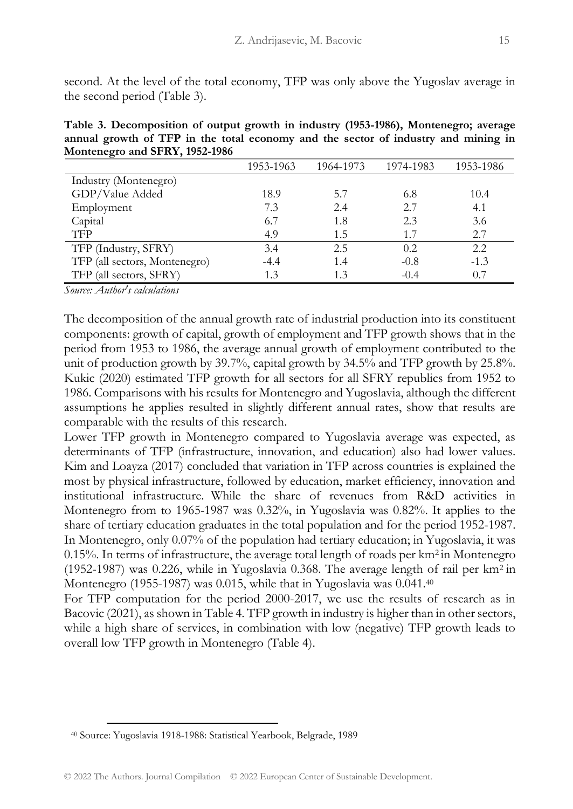second. At the level of the total economy, TFP was only above the Yugoslav average in the second period (Table 3).

**Table 3. Decomposition of output growth in industry (1953-1986), Montenegro; average annual growth of TFP in the total economy and the sector of industry and mining in Montenegro and SFRY, 1952-1986**

|                               | 1953-1963 | 1964-1973 | 1974-1983 | 1953-1986 |
|-------------------------------|-----------|-----------|-----------|-----------|
| Industry (Montenegro)         |           |           |           |           |
| GDP/Value Added               | 18.9      | 5.7       | 6.8       | 10.4      |
| Employment                    | 7.3       | 2.4       | 2.7       | 4.1       |
| Capital                       | 6.7       | 1.8       | 2.3       | 3.6       |
| <b>TFP</b>                    | 4.9       | 1.5       | 1.7       | 2.7       |
| TFP (Industry, SFRY)          | 3.4       | 2.5       | 0.2       | 2.2       |
| TFP (all sectors, Montenegro) | $-4.4$    | 1.4       | $-0.8$    | $-1.3$    |
| TFP (all sectors, SFRY)       | 1.3       | 1.3       | $-0.4$    | 0.7       |

*Source: Author's calculations*

The decomposition of the annual growth rate of industrial production into its constituent components: growth of capital, growth of employment and TFP growth shows that in the period from 1953 to 1986, the average annual growth of employment contributed to the unit of production growth by 39.7%, capital growth by 34.5% and TFP growth by 25.8%. Kukic (2020) estimated TFP growth for all sectors for all SFRY republics from 1952 to 1986. Comparisons with his results for Montenegro and Yugoslavia, although the different assumptions he applies resulted in slightly different annual rates, show that results are comparable with the results of this research.

Lower TFP growth in Montenegro compared to Yugoslavia average was expected, as determinants of TFP (infrastructure, innovation, and education) also had lower values. Kim and Loayza (2017) concluded that variation in TFP across countries is explained the most by physical infrastructure, followed by education, market efficiency, innovation and institutional infrastructure. While the share of revenues from R&D activities in Montenegro from to 1965-1987 was 0.32%, in Yugoslavia was 0.82%. It applies to the share of tertiary education graduates in the total population and for the period 1952-1987. In Montenegro, only 0.07% of the population had tertiary education; in Yugoslavia, it was  $0.15\%$ . In terms of infrastructure, the average total length of roads per km<sup>2</sup> in Montenegro  $(1952-1987)$  was 0.226, while in Yugoslavia 0.368. The average length of rail per km<sup>2</sup> in Montenegro (1955-1987) was 0.015, while that in Yugoslavia was 0.041.<sup>40</sup>

For TFP computation for the period 2000-2017, we use the results of research as in Bacovic (2021), as shown in Table 4. TFP growth in industry is higher than in other sectors, while a high share of services, in combination with low (negative) TFP growth leads to overall low TFP growth in Montenegro (Table 4).

<sup>40</sup> Source: Yugoslavia 1918-1988: Statistical Yearbook, Belgrade, 1989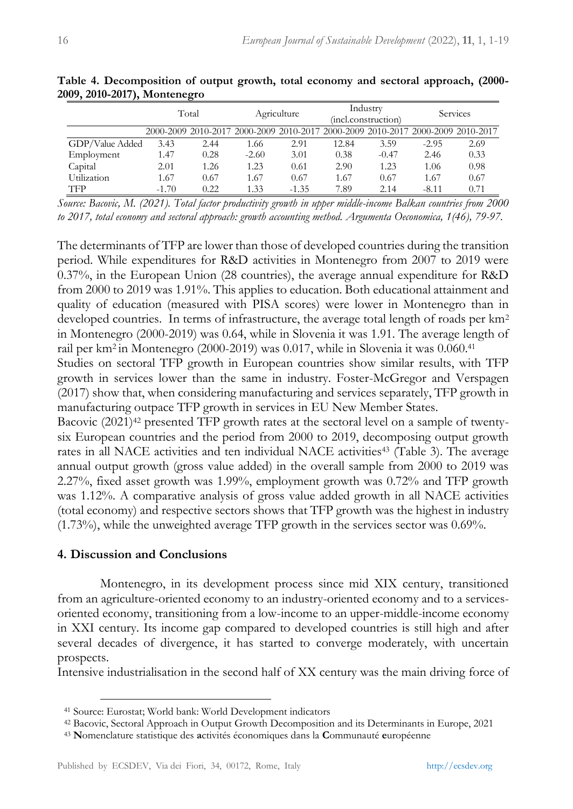|                 | Total   |      | Agriculture                                                                     |         | Industry<br>(incl.construction) |         | <b>Services</b> |      |
|-----------------|---------|------|---------------------------------------------------------------------------------|---------|---------------------------------|---------|-----------------|------|
|                 |         |      | 2000-2009 2010-2017 2000-2009 2010-2017 2000-2009 2010-2017 2000-2009 2010-2017 |         |                                 |         |                 |      |
| GDP/Value Added | 3.43    | 2.44 | 1.66                                                                            | 2.91    | 12.84                           | 3.59    | $-2.95$         | 2.69 |
| Employment      | 1.47    | 0.28 | $-2.60$                                                                         | 3.01    | 0.38                            | $-0.47$ | 2.46            | 0.33 |
| Capital         | 2.01    | 1.26 | 1.23                                                                            | 0.61    | 2.90                            | 1.23    | 1.06            | 0.98 |
| Utilization     | 1.67    | 0.67 | 1.67                                                                            | 0.67    | 1.67                            | 0.67    | 1.67            | 0.67 |
| TFP             | $-1.70$ | 0.22 | 1.33                                                                            | $-1.35$ | 7.89                            | 2.14    | $-8.11$         | 0.71 |

**Table 4. Decomposition of output growth, total economy and sectoral approach, (2000- 2009, 2010-2017), Montenegro**

*Source: Bacovic, M. (2021). Total factor productivity growth in upper middle-income Balkan countries from 2000 to 2017, total economy and sectoral approach: growth accounting method. Argumenta Oeconomica, 1(46), 79-97.*

The determinants of TFP are lower than those of developed countries during the transition period. While expenditures for R&D activities in Montenegro from 2007 to 2019 were 0.37%, in the European Union (28 countries), the average annual expenditure for R&D from 2000 to 2019 was 1.91%. This applies to education. Both educational attainment and quality of education (measured with PISA scores) were lower in Montenegro than in developed countries. In terms of infrastructure, the average total length of roads per km<sup>2</sup> in Montenegro (2000-2019) was 0.64, while in Slovenia it was 1.91. The average length of rail per km2 in Montenegro (2000-2019) was 0.017, while in Slovenia it was 0.060.<sup>41</sup>

Studies on sectoral TFP growth in European countries show similar results, with TFP growth in services lower than the same in industry. Foster-McGregor and Verspagen (2017) show that, when considering manufacturing and services separately, TFP growth in manufacturing outpace TFP growth in services in EU New Member States.

Bacovic  $(2021)^{42}$  presented TFP growth rates at the sectoral level on a sample of twentysix European countries and the period from 2000 to 2019, decomposing output growth rates in all NACE activities and ten individual NACE activities<sup>43</sup> (Table 3). The average annual output growth (gross value added) in the overall sample from 2000 to 2019 was 2.27%, fixed asset growth was 1.99%, employment growth was 0.72% and TFP growth was 1.12%. A comparative analysis of gross value added growth in all NACE activities (total economy) and respective sectors shows that TFP growth was the highest in industry (1.73%), while the unweighted average TFP growth in the services sector was 0.69%.

## **4. Discussion and Conclusions**

Montenegro, in its development process since mid XIX century, transitioned from an agriculture-oriented economy to an industry-oriented economy and to a servicesoriented economy, transitioning from a low-income to an upper-middle-income economy in XXI century. Its income gap compared to developed countries is still high and after several decades of divergence, it has started to converge moderately, with uncertain prospects.

Intensive industrialisation in the second half of XX century was the main driving force of

<sup>41</sup> Source: Eurostat; World bank: World Development indicators

<sup>42</sup> Bacovic, Sectoral Approach in Output Growth Decomposition and its Determinants in Europe, 2021

<sup>43</sup> **N**omenclature statistique des **a**ctivités économiques dans la **C**ommunauté **e**uropéenne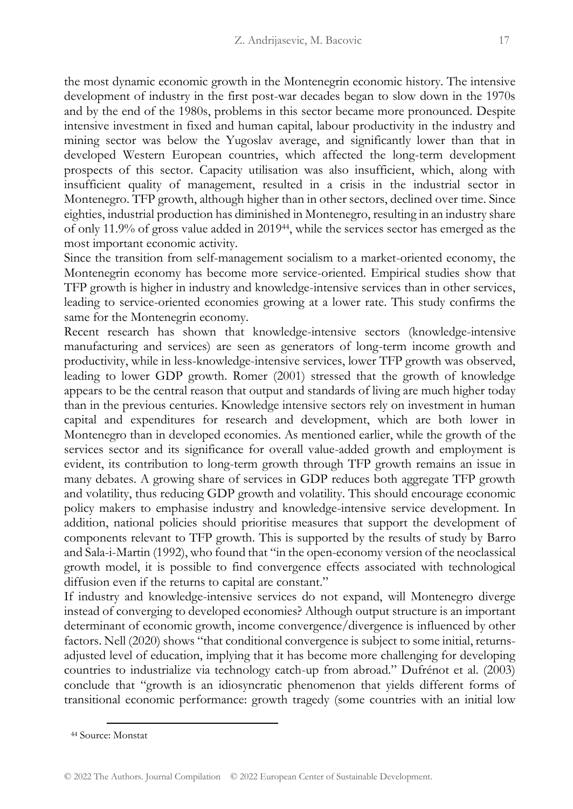the most dynamic economic growth in the Montenegrin economic history. The intensive development of industry in the first post-war decades began to slow down in the 1970s and by the end of the 1980s, problems in this sector became more pronounced. Despite intensive investment in fixed and human capital, labour productivity in the industry and mining sector was below the Yugoslav average, and significantly lower than that in developed Western European countries, which affected the long-term development prospects of this sector. Capacity utilisation was also insufficient, which, along with insufficient quality of management, resulted in a crisis in the industrial sector in Montenegro. TFP growth, although higher than in other sectors, declined over time. Since eighties, industrial production has diminished in Montenegro, resulting in an industry share of only 11.9% of gross value added in 201944, while the services sector has emerged as the most important economic activity.

Since the transition from self-management socialism to a market-oriented economy, the Montenegrin economy has become more service-oriented. Empirical studies show that TFP growth is higher in industry and knowledge-intensive services than in other services, leading to service-oriented economies growing at a lower rate. This study confirms the same for the Montenegrin economy.

Recent research has shown that knowledge-intensive sectors (knowledge-intensive manufacturing and services) are seen as generators of long-term income growth and productivity, while in less-knowledge-intensive services, lower TFP growth was observed, leading to lower GDP growth. Romer (2001) stressed that the growth of knowledge appears to be the central reason that output and standards of living are much higher today than in the previous centuries. Knowledge intensive sectors rely on investment in human capital and expenditures for research and development, which are both lower in Montenegro than in developed economies. As mentioned earlier, while the growth of the services sector and its significance for overall value-added growth and employment is evident, its contribution to long-term growth through TFP growth remains an issue in many debates. A growing share of services in GDP reduces both aggregate TFP growth and volatility, thus reducing GDP growth and volatility. This should encourage economic policy makers to emphasise industry and knowledge-intensive service development. In addition, national policies should prioritise measures that support the development of components relevant to TFP growth. This is supported by the results of study by Barro and Sala-i-Martin (1992), who found that "in the open-economy version of the neoclassical growth model, it is possible to find convergence effects associated with technological diffusion even if the returns to capital are constant."

If industry and knowledge-intensive services do not expand, will Montenegro diverge instead of converging to developed economies? Although output structure is an important determinant of economic growth, income convergence/divergence is influenced by other factors. Nell (2020) shows "that conditional convergence is subject to some initial, returnsadjusted level of education, implying that it has become more challenging for developing countries to industrialize via technology catch-up from abroad." Dufrénot et al. (2003) conclude that "growth is an idiosyncratic phenomenon that yields different forms of transitional economic performance: growth tragedy (some countries with an initial low

<sup>44</sup> Source: Monstat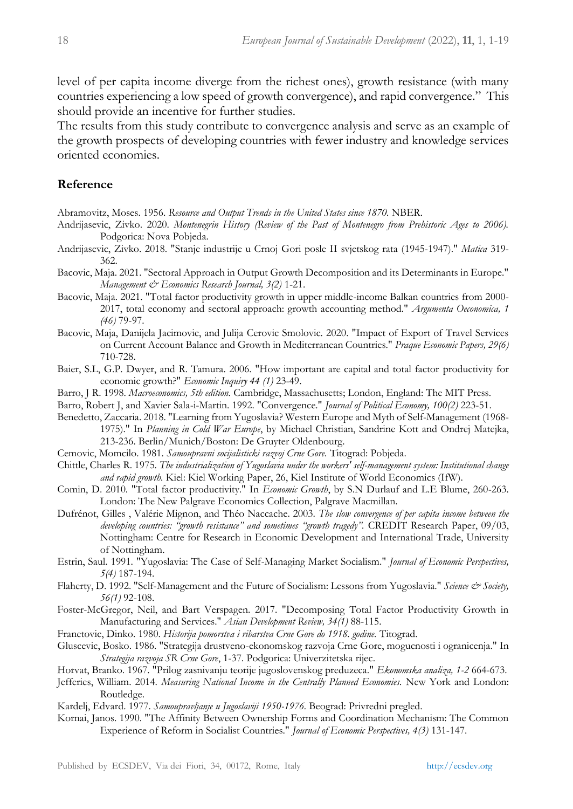level of per capita income diverge from the richest ones), growth resistance (with many countries experiencing a low speed of growth convergence), and rapid convergence." This should provide an incentive for further studies.

The results from this study contribute to convergence analysis and serve as an example of the growth prospects of developing countries with fewer industry and knowledge services oriented economies.

## **Reference**

Abramovitz, Moses. 1956. *Resource and Output Trends in the United States since 1870.* NBER.

- Andrijasevic, Zivko. 2020. *Montenegrin History (Review of the Past of Montenegro from Prehistoric Ages to 2006).* Podgorica: Nova Pobjeda.
- Andrijasevic, Zivko. 2018. "Stanje industrije u Crnoj Gori posle II svjetskog rata (1945-1947)." *Matica* 319- 362.
- Bacovic, Maja. 2021. "Sectoral Approach in Output Growth Decomposition and its Determinants in Europe." *Management & Economics Research Journal, 3(2)* 1-21.
- Bacovic, Maja. 2021. "Total factor productivity growth in upper middle-income Balkan countries from 2000- 2017, total economy and sectoral approach: growth accounting method." *Argumenta Oeconomica, 1 (46)* 79-97.
- Bacovic, Maja, Danijela Jacimovic, and Julija Cerovic Smolovic. 2020. "Impact of Export of Travel Services on Current Account Balance and Growth in Mediterranean Countries." *Praque Economic Papers, 29(6)* 710-728.
- Baier, S.L, G.P. Dwyer, and R. Tamura. 2006. "How important are capital and total factor productivity for economic growth?" *Economic Inquiry 44 (1)* 23-49.
- Barro, J R. 1998. *Macroeconomics, 5th edition.* Cambridge, Massachusetts; London, England: The MIT Press.

Barro, Robert J, and Xavier Sala-i-Martin. 1992. "Convergence." *Journal of Political Economy, 100(2)* 223-51.

- Benedetto, Zaccaria. 2018. "Learning from Yugoslavia? Western Europe and Myth of Self-Management (1968- 1975)." In *Planning in Cold War Europe*, by Michael Christian, Sandrine Kott and Ondrej Matejka, 213-236. Berlin/Munich/Boston: De Gruyter Oldenbourg.
- Cemovic, Momcilo. 1981. *Samoupravni socijalisticki razvoj Crne Gore.* Titograd: Pobjeda.
- Chittle, Charles R. 1975. *The industrialization of Yugoslavia under the workers' self-management system: Institutional change and rapid growth.* Kiel: Kiel Working Paper, 26, Kiel Institute of World Economics (IfW).
- Comin, D. 2010. "Total factor productivity." In *Economic Growth*, by S.N Durlauf and L.E Blume, 260-263. London: The New Palgrave Economics Collection, Palgrave Macmillan.
- Dufrénot, Gilles , Valérie Mignon, and Théo Naccache. 2003. *The slow convergence of per capita income between the developing countries: "growth resistance" and sometimes "growth tragedy".* CREDIT Research Paper, 09/03, Nottingham: Centre for Research in Economic Development and International Trade, University of Nottingham.
- Estrin, Saul. 1991. "Yugoslavia: The Case of Self-Managing Market Socialism." *Journal of Economic Perspectives, 5(4)* 187-194.
- Flaherty, D. 1992. "Self-Management and the Future of Socialism: Lessons from Yugoslavia." *Science & Society, 56(1)* 92-108.
- Foster-McGregor, Neil, and Bart Verspagen. 2017. "Decomposing Total Factor Productivity Growth in Manufacturing and Services." *Asian Development Review, 34(1)* 88-115.
- Franetovic, Dinko. 1980. *Historija pomorstva i ribarstva Crne Gore do 1918. godine.* Titograd.
- Gluscevic, Bosko. 1986. "Strategija drustveno-ekonomskog razvoja Crne Gore, mogucnosti i ogranicenja." In *Strategija razvoja SR Crne Gore*, 1-37. Podgorica: Univerzitetska rijec.
- Horvat, Branko. 1967. "Prilog zasnivanju teorije jugoslovenskog preduzeca." *Ekonomska analiza, 1-2* 664-673.
- Jefferies, William. 2014. *Measuring National Income in the Centrally Planned Economies.* New York and London: Routledge.
- Kardelj, Edvard. 1977. *Samoupravljanje u Jugoslaviji 1950-1976.* Beograd: Privredni pregled.
- Kornai, Janos. 1990. "The Affinity Between Ownership Forms and Coordination Mechanism: The Common Experience of Reform in Socialist Countries." *Journal of Economic Perspectives, 4(3)* 131-147.